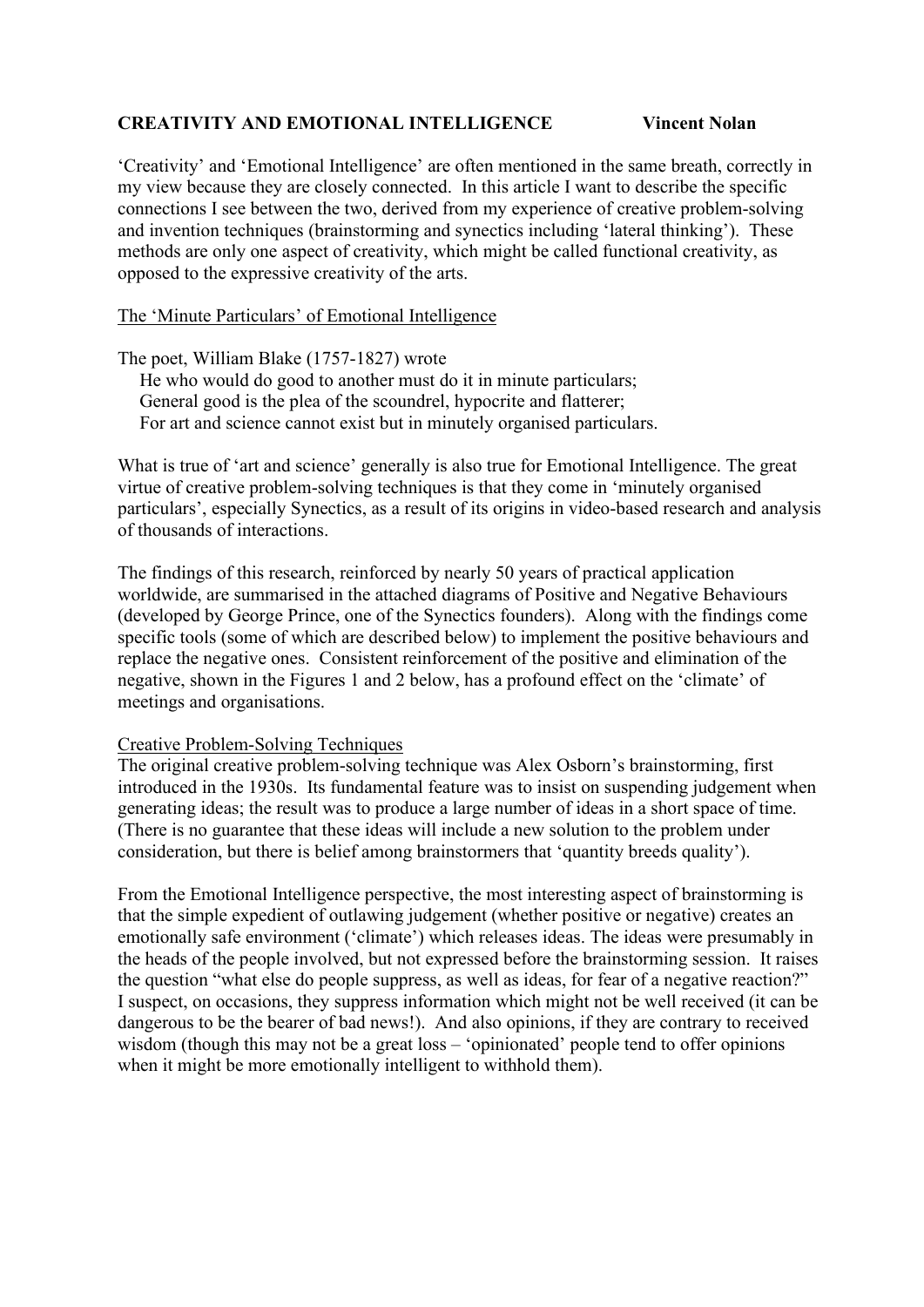### **CREATIVITY AND EMOTIONAL INTELLIGENCE Vincent Nolan**

'Creativity' and 'Emotional Intelligence' are often mentioned in the same breath, correctly in my view because they are closely connected. In this article I want to describe the specific connections I see between the two, derived from my experience of creative problem-solving and invention techniques (brainstorming and synectics including 'lateral thinking'). These methods are only one aspect of creativity, which might be called functional creativity, as opposed to the expressive creativity of the arts.

#### The 'Minute Particulars' of Emotional Intelligence

The poet, William Blake (1757-1827) wrote

He who would do good to another must do it in minute particulars; General good is the plea of the scoundrel, hypocrite and flatterer; For art and science cannot exist but in minutely organised particulars.

What is true of 'art and science' generally is also true for Emotional Intelligence. The great virtue of creative problem-solving techniques is that they come in 'minutely organised particulars', especially Synectics, as a result of its origins in video-based research and analysis of thousands of interactions.

The findings of this research, reinforced by nearly 50 years of practical application worldwide, are summarised in the attached diagrams of Positive and Negative Behaviours (developed by George Prince, one of the Synectics founders). Along with the findings come specific tools (some of which are described below) to implement the positive behaviours and replace the negative ones. Consistent reinforcement of the positive and elimination of the negative, shown in the Figures 1 and 2 below, has a profound effect on the 'climate' of meetings and organisations.

#### Creative Problem-Solving Techniques

The original creative problem-solving technique was Alex Osborn's brainstorming, first introduced in the 1930s. Its fundamental feature was to insist on suspending judgement when generating ideas; the result was to produce a large number of ideas in a short space of time. (There is no guarantee that these ideas will include a new solution to the problem under consideration, but there is belief among brainstormers that 'quantity breeds quality').

From the Emotional Intelligence perspective, the most interesting aspect of brainstorming is that the simple expedient of outlawing judgement (whether positive or negative) creates an emotionally safe environment ('climate') which releases ideas. The ideas were presumably in the heads of the people involved, but not expressed before the brainstorming session. It raises the question "what else do people suppress, as well as ideas, for fear of a negative reaction?" I suspect, on occasions, they suppress information which might not be well received (it can be dangerous to be the bearer of bad news!). And also opinions, if they are contrary to received wisdom (though this may not be a great loss – 'opinionated' people tend to offer opinions when it might be more emotionally intelligent to withhold them).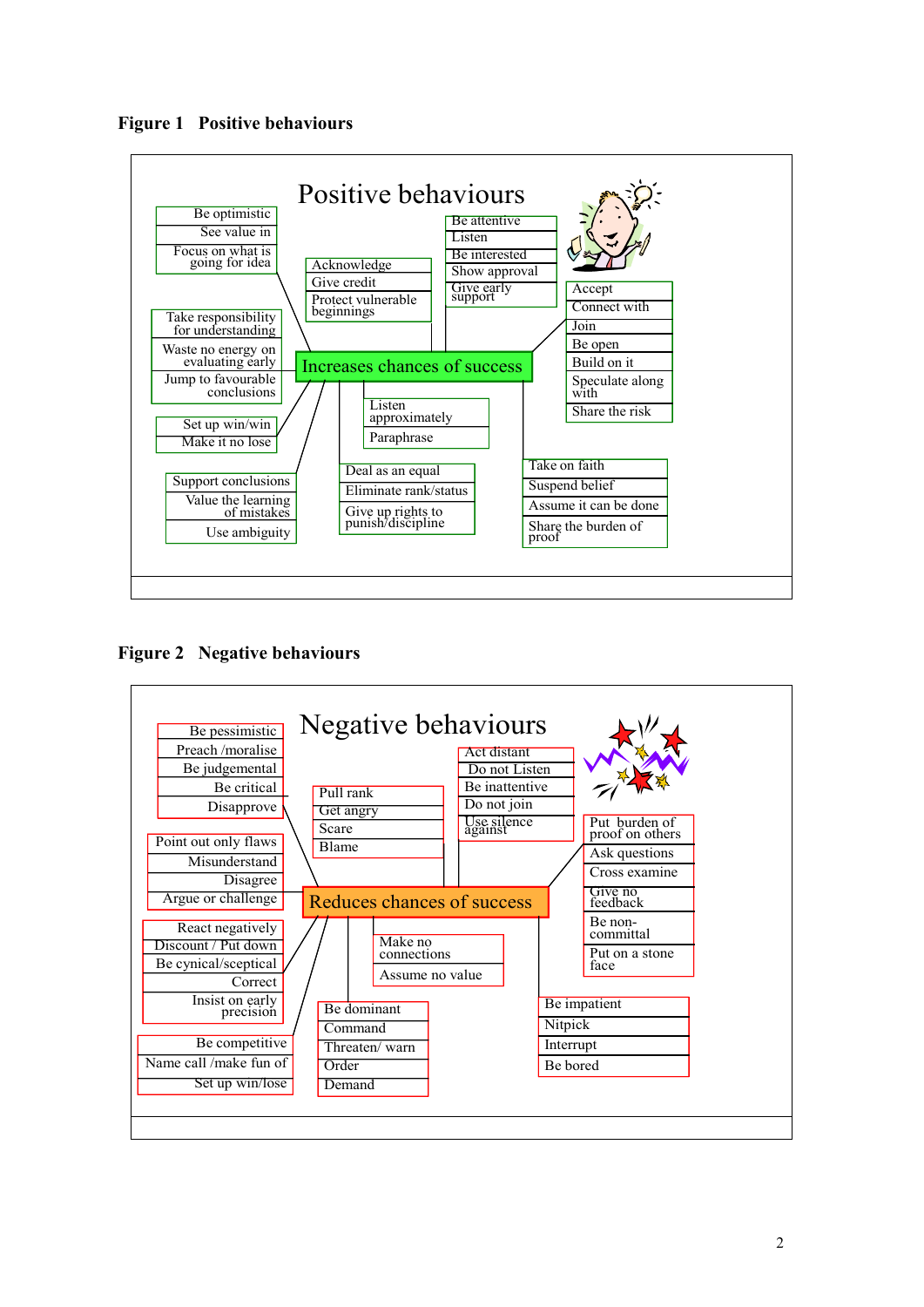



**Figure 2 Negative behaviours**

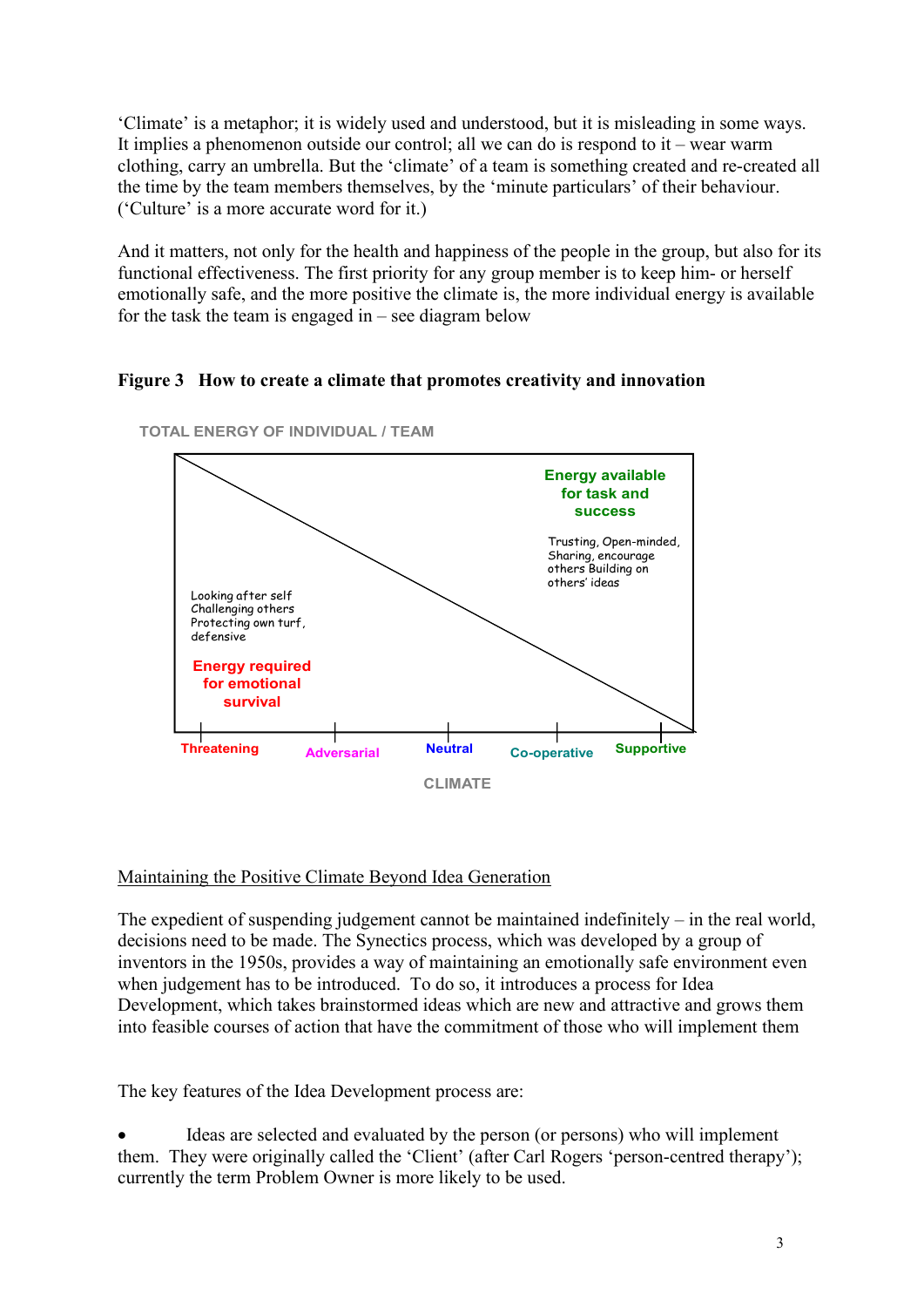'Climate' is a metaphor; it is widely used and understood, but it is misleading in some ways. It implies a phenomenon outside our control; all we can do is respond to it – wear warm clothing, carry an umbrella. But the 'climate' of a team is something created and re-created all the time by the team members themselves, by the 'minute particulars' of their behaviour. ('Culture' is a more accurate word for it.)

And it matters, not only for the health and happiness of the people in the group, but also for its functional effectiveness. The first priority for any group member is to keep him- or herself emotionally safe, and the more positive the climate is, the more individual energy is available for the task the team is engaged in – see diagram below

## **Figure 3 How to create a climate that promotes creativity and innovation**



**TOTAL ENERGY OF INDIVIDUAL / TEAM**

# Maintaining the Positive Climate Beyond Idea Generation

The expedient of suspending judgement cannot be maintained indefinitely – in the real world, decisions need to be made. The Synectics process, which was developed by a group of inventors in the 1950s, provides a way of maintaining an emotionally safe environment even when judgement has to be introduced. To do so, it introduces a process for Idea Development, which takes brainstormed ideas which are new and attractive and grows them into feasible courses of action that have the commitment of those who will implement them

The key features of the Idea Development process are:

• Ideas are selected and evaluated by the person (or persons) who will implement them. They were originally called the 'Client' (after Carl Rogers 'person-centred therapy'); currently the term Problem Owner is more likely to be used.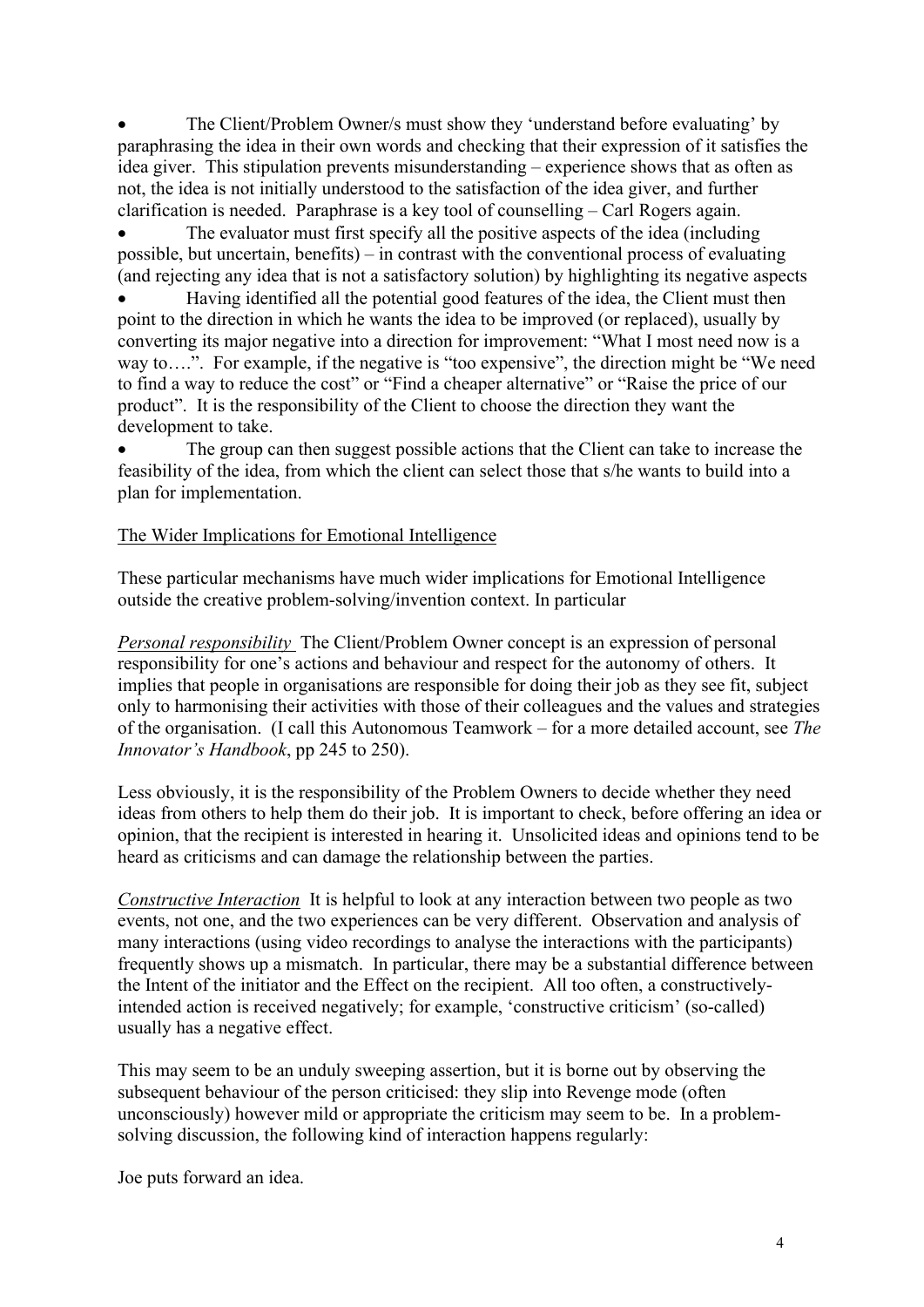• The Client/Problem Owner/s must show they 'understand before evaluating' by paraphrasing the idea in their own words and checking that their expression of it satisfies the idea giver. This stipulation prevents misunderstanding – experience shows that as often as not, the idea is not initially understood to the satisfaction of the idea giver, and further clarification is needed. Paraphrase is a key tool of counselling – Carl Rogers again.

The evaluator must first specify all the positive aspects of the idea (including possible, but uncertain, benefits) – in contrast with the conventional process of evaluating (and rejecting any idea that is not a satisfactory solution) by highlighting its negative aspects

• Having identified all the potential good features of the idea, the Client must then point to the direction in which he wants the idea to be improved (or replaced), usually by converting its major negative into a direction for improvement: "What I most need now is a way to….". For example, if the negative is "too expensive", the direction might be "We need to find a way to reduce the cost" or "Find a cheaper alternative" or "Raise the price of our product". It is the responsibility of the Client to choose the direction they want the development to take.

The group can then suggest possible actions that the Client can take to increase the feasibility of the idea, from which the client can select those that s/he wants to build into a plan for implementation.

#### The Wider Implications for Emotional Intelligence

These particular mechanisms have much wider implications for Emotional Intelligence outside the creative problem-solving/invention context. In particular

*Personal responsibility* The Client/Problem Owner concept is an expression of personal responsibility for one's actions and behaviour and respect for the autonomy of others. It implies that people in organisations are responsible for doing their job as they see fit, subject only to harmonising their activities with those of their colleagues and the values and strategies of the organisation. (I call this Autonomous Teamwork – for a more detailed account, see *The Innovator's Handbook*, pp 245 to 250).

Less obviously, it is the responsibility of the Problem Owners to decide whether they need ideas from others to help them do their job. It is important to check, before offering an idea or opinion, that the recipient is interested in hearing it. Unsolicited ideas and opinions tend to be heard as criticisms and can damage the relationship between the parties.

*Constructive Interaction* It is helpful to look at any interaction between two people as two events, not one, and the two experiences can be very different. Observation and analysis of many interactions (using video recordings to analyse the interactions with the participants) frequently shows up a mismatch. In particular, there may be a substantial difference between the Intent of the initiator and the Effect on the recipient. All too often, a constructivelyintended action is received negatively; for example, 'constructive criticism' (so-called) usually has a negative effect.

This may seem to be an unduly sweeping assertion, but it is borne out by observing the subsequent behaviour of the person criticised: they slip into Revenge mode (often unconsciously) however mild or appropriate the criticism may seem to be. In a problemsolving discussion, the following kind of interaction happens regularly:

Joe puts forward an idea.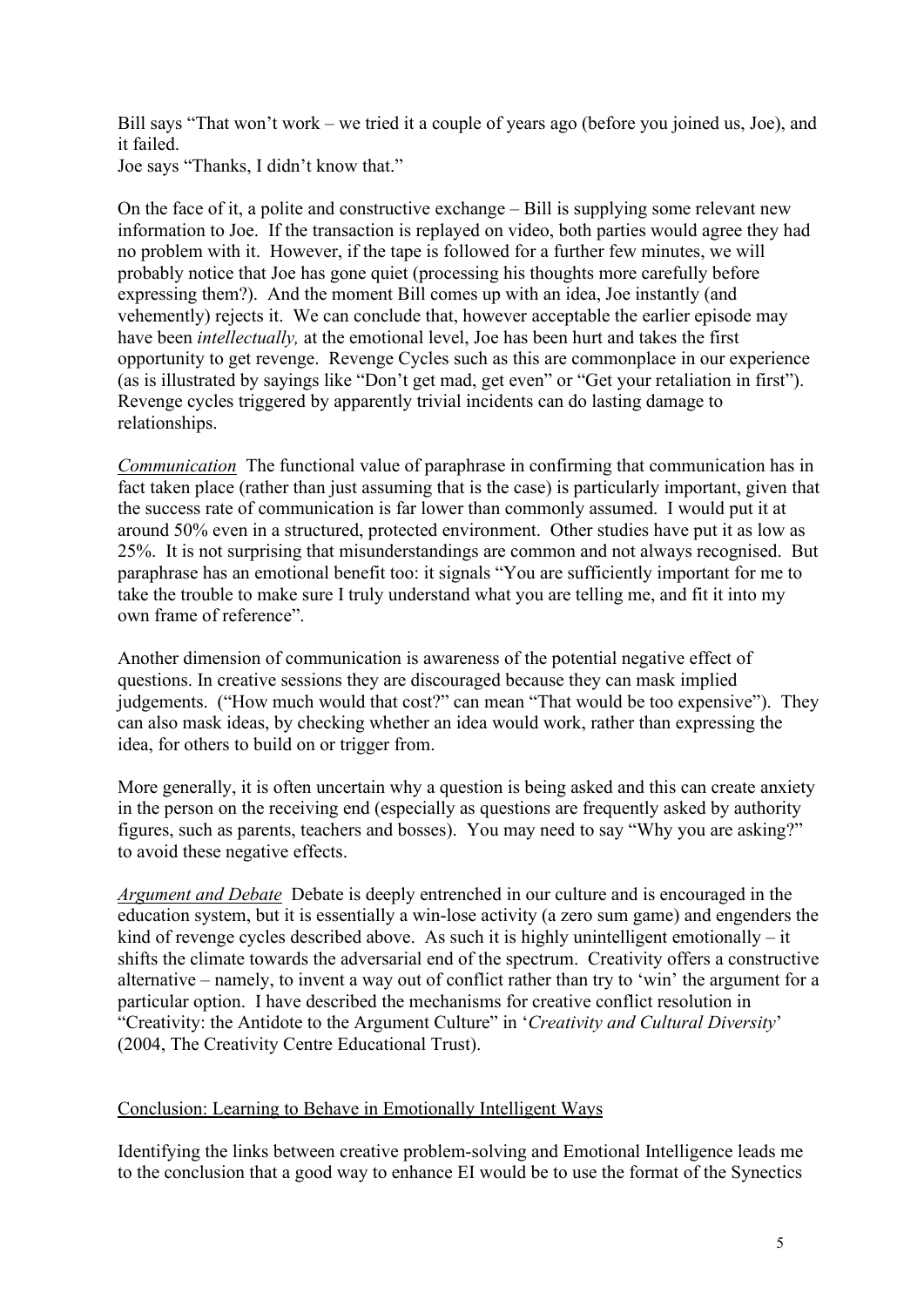Bill says "That won't work – we tried it a couple of years ago (before you joined us, Joe), and it failed.

Joe says "Thanks, I didn't know that."

On the face of it, a polite and constructive exchange – Bill is supplying some relevant new information to Joe. If the transaction is replayed on video, both parties would agree they had no problem with it. However, if the tape is followed for a further few minutes, we will probably notice that Joe has gone quiet (processing his thoughts more carefully before expressing them?). And the moment Bill comes up with an idea, Joe instantly (and vehemently) rejects it. We can conclude that, however acceptable the earlier episode may have been *intellectually,* at the emotional level, Joe has been hurt and takes the first opportunity to get revenge. Revenge Cycles such as this are commonplace in our experience (as is illustrated by sayings like "Don't get mad, get even" or "Get your retaliation in first"). Revenge cycles triggered by apparently trivial incidents can do lasting damage to relationships.

*Communication* The functional value of paraphrase in confirming that communication has in fact taken place (rather than just assuming that is the case) is particularly important, given that the success rate of communication is far lower than commonly assumed. I would put it at around 50% even in a structured, protected environment. Other studies have put it as low as 25%. It is not surprising that misunderstandings are common and not always recognised. But paraphrase has an emotional benefit too: it signals "You are sufficiently important for me to take the trouble to make sure I truly understand what you are telling me, and fit it into my own frame of reference".

Another dimension of communication is awareness of the potential negative effect of questions. In creative sessions they are discouraged because they can mask implied judgements. ("How much would that cost?" can mean "That would be too expensive"). They can also mask ideas, by checking whether an idea would work, rather than expressing the idea, for others to build on or trigger from.

More generally, it is often uncertain why a question is being asked and this can create anxiety in the person on the receiving end (especially as questions are frequently asked by authority figures, such as parents, teachers and bosses). You may need to say "Why you are asking?" to avoid these negative effects.

*Argument and Debate* Debate is deeply entrenched in our culture and is encouraged in the education system, but it is essentially a win-lose activity (a zero sum game) and engenders the kind of revenge cycles described above. As such it is highly unintelligent emotionally – it shifts the climate towards the adversarial end of the spectrum. Creativity offers a constructive alternative – namely, to invent a way out of conflict rather than try to 'win' the argument for a particular option. I have described the mechanisms for creative conflict resolution in "Creativity: the Antidote to the Argument Culture" in '*Creativity and Cultural Diversity*' (2004, The Creativity Centre Educational Trust).

## Conclusion: Learning to Behave in Emotionally Intelligent Ways

Identifying the links between creative problem-solving and Emotional Intelligence leads me to the conclusion that a good way to enhance EI would be to use the format of the Synectics